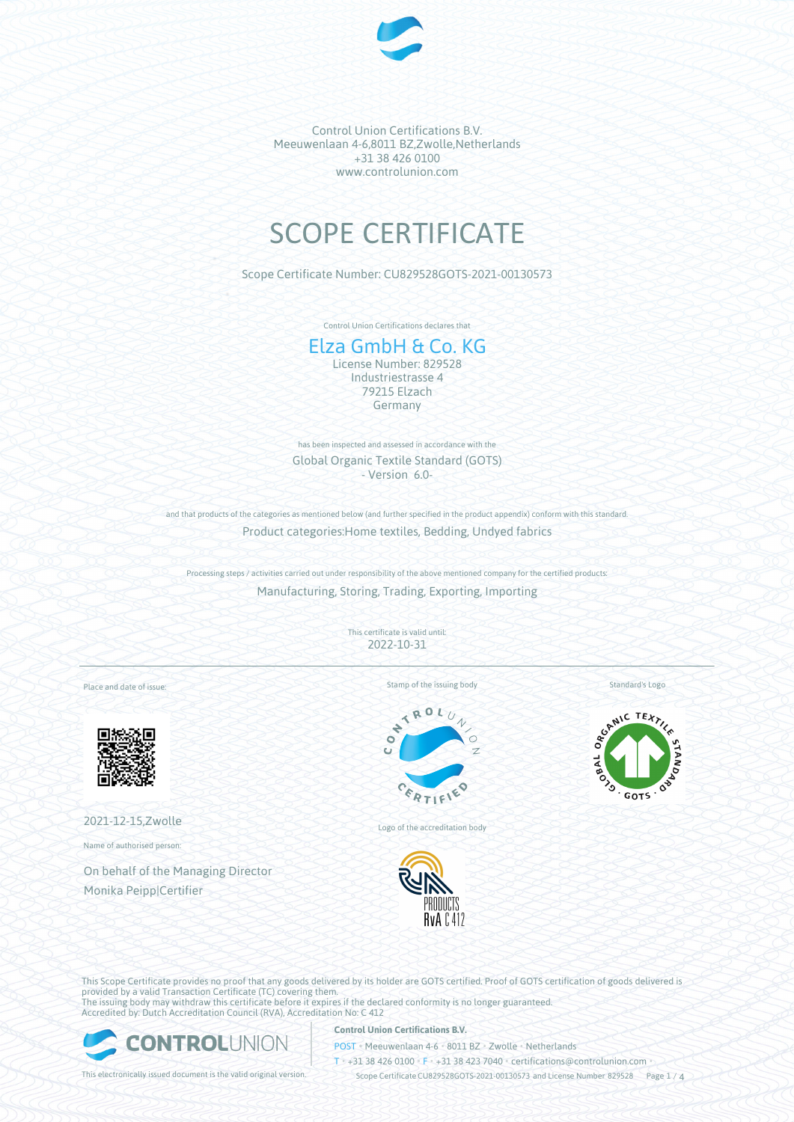

# SCOPE CERTIFICATE

Scope Certificate Number: CU829528GOTS-2021-00130573

Control Union Certifications declares that

# Elza GmbH & Co. KG

License Number: 829528 Industriestrasse 4 79215 Elzach Germany

has been inspected and assessed in accordance with the Global Organic Textile Standard (GOTS) - Version 6.0-

and that products of the categories as mentioned below (and further specified in the product appendix) conform with this standard. Product categories:Home textiles, Bedding, Undyed fabrics

Processing steps / activities carried out under responsibility of the above mentioned company for the certified products: Manufacturing, Storing, Trading, Exporting, Importing

> This certificate is valid until: 2022-10-31

Place and date of issue:



2021-12-15,Zwolle

Name of authorised person:

On behalf of the Managing Director Monika Peipp|Certifier

Stamp of the issuing body



Logo of the accreditation body



Standard's Logo



This Scope Certificate provides no proof that any goods delivered by its holder are GOTS certified. Proof of GOTS certification of goods delivered is provided by a valid Transaction Certificate (TC) covering them. The issuing body may withdraw this certificate before it expires if the declared conformity is no longer guaranteed. Accredited by: Dutch Accreditation Council (RVA), Accreditation No: C 412



### **Control Union Certifications B.V.**

POST • Meeuwenlaan 4-6 • 8011 BZ • Zwolle • Netherlands

T • +31 38 426 0100 • F • +31 38 423 7040 • certifications@controlunion.com •

This electronically issued document is the valid original version. Scope Certificate CU829528GOTS-2021-00130573 and License Number 829528 Page 1 / 4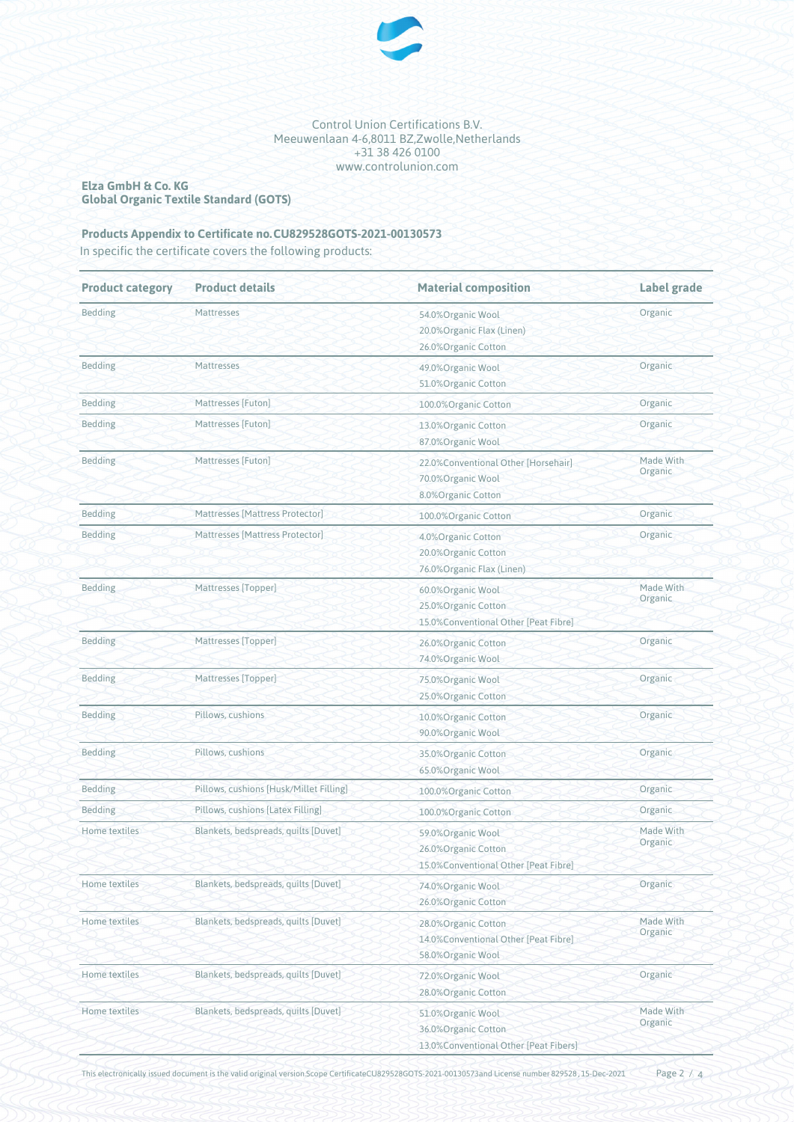

### **Elza GmbH & Co. KG Global Organic Textile Standard (GOTS)**

## **Products Appendix to Certificate no.CU829528GOTS-2021-00130573**

In specific the certificate covers the following products:

| <b>Product category</b> | <b>Product details</b>                  | <b>Material composition</b>                                                        | Label grade          |
|-------------------------|-----------------------------------------|------------------------------------------------------------------------------------|----------------------|
| <b>Bedding</b>          | Mattresses                              | 54.0%Organic Wool<br>20.0% Organic Flax (Linen)<br>26.0%Organic Cotton             | Organic              |
| <b>Bedding</b>          | Mattresses                              | 49.0%Organic Wool<br>51.0% Organic Cotton                                          | Organic              |
| <b>Bedding</b>          | Mattresses [Futon]                      | 100.0%Organic Cotton                                                               | Organic              |
| <b>Bedding</b>          | Mattresses [Futon]                      | 13.0%Organic Cotton<br>87.0%Organic Wool                                           | Organic              |
| <b>Bedding</b>          | Mattresses [Futon]                      | 22.0% Conventional Other [Horsehair]<br>70.0%Organic Wool<br>8.0%Organic Cotton    | Made With<br>Organic |
| Bedding                 | Mattresses [Mattress Protector]         | 100.0%Organic Cotton                                                               | Organic              |
| <b>Bedding</b>          | Mattresses [Mattress Protector]         | 4.0%Organic Cotton<br>20.0%Organic Cotton<br>76.0%Organic Flax (Linen)             | Organic              |
| Bedding                 | Mattresses [Topper]                     | 60.0%Organic Wool<br>25.0% Organic Cotton<br>15.0% Conventional Other [Peat Fibre] | Made With<br>Organic |
| <b>Bedding</b>          | Mattresses [Topper]                     | 26.0%Organic Cotton<br>74.0%Organic Wool                                           | Organic              |
| <b>Bedding</b>          | Mattresses [Topper]                     | 75.0%Organic Wool<br>25.0%Organic Cotton                                           | Organic              |
| <b>Bedding</b>          | Pillows, cushions                       | 10.0% Organic Cotton<br>90.0%Organic Wool                                          | Organic              |
| <b>Bedding</b>          | Pillows, cushions                       | 35.0%Organic Cotton<br>65.0%Organic Wool                                           | Organic              |
| <b>Bedding</b>          | Pillows, cushions [Husk/Millet Filling] | 100.0%Organic Cotton                                                               | Organic              |
| <b>Bedding</b>          | Pillows, cushions [Latex Filling]       | 100.0%Organic Cotton                                                               | Organic              |
| Home textiles           | Blankets, bedspreads, quilts [Duvet]    | 59.0%Organic Wool<br>26.0%Organic Cotton<br>15.0%Conventional Other [Peat Fibre]   | Made With<br>Organic |
| Home textiles           | Blankets, bedspreads, quilts [Duvet]    | 74.0%Organic Wool<br>26.0%Organic Cotton                                           | Organic              |
| Home textiles           | Blankets, bedspreads, quilts [Duvet]    | 28.0%Organic Cotton<br>14.0%Conventional Other [Peat Fibre]<br>58.0%Organic Wool   | Made With<br>Organic |
| Home textiles           | Blankets, bedspreads, quilts [Duvet]    | 72.0%Organic Wool<br>28.0%Organic Cotton                                           | Organic              |
| Home textiles           | Blankets, bedspreads, quilts [Duvet]    | 51.0%Organic Wool<br>36.0%Organic Cotton<br>13.0% Conventional Other [Peat Fibers] | Made With<br>Organic |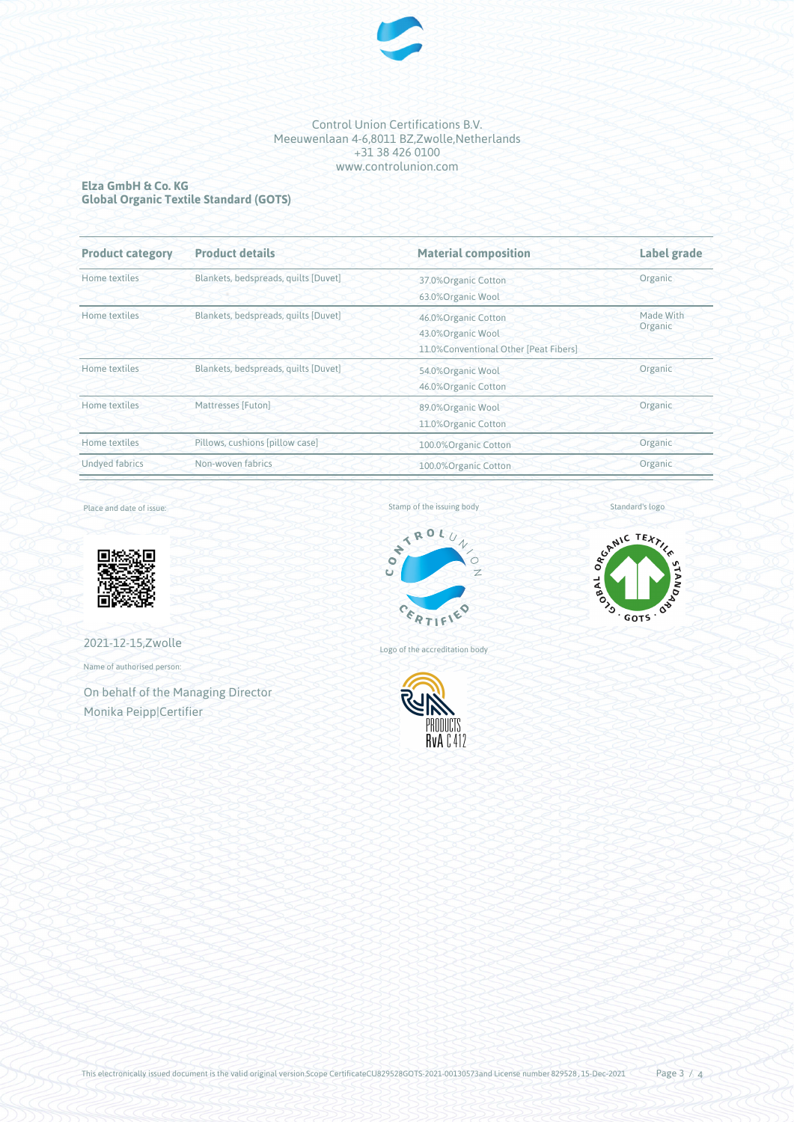

### **Elza GmbH & Co. KG Global Organic Textile Standard (GOTS)**

| <b>Product category</b> | <b>Product details</b>               | <b>Material composition</b>           | Label grade          |
|-------------------------|--------------------------------------|---------------------------------------|----------------------|
| Home textiles           | Blankets, bedspreads, quilts [Duvet] | 37.0%Organic Cotton                   | Organic              |
|                         |                                      | 63.0%Organic Wool                     |                      |
| Home textiles           | Blankets, bedspreads, quilts [Duvet] | 46.0%Organic Cotton                   | Made With<br>Organic |
|                         |                                      | 43.0% Organic Wool                    |                      |
|                         |                                      | 11.0%Conventional Other [Peat Fibers] |                      |
| Home textiles           | Blankets, bedspreads, quilts [Duvet] | 54.0%Organic Wool                     | Organic              |
|                         |                                      | 46.0%Organic Cotton                   |                      |
| Home textiles           | Mattresses [Futon]                   | 89.0%Organic Wool                     | Organic              |
|                         |                                      | 11.0%Organic Cotton                   |                      |
| Home textiles           | Pillows, cushions [pillow case]      | 100.0%Organic Cotton                  | Organic              |
| <b>Undyed fabrics</b>   | Non-woven fabrics                    | 100.0%Organic Cotton                  | Organic              |

Place and date of issue:



2021-12-15,Zwolle

Name of authorised person:

On behalf of the Managing Director Monika Peipp|Certifier

Stamp of the issuing body



Logo of the accreditation body



Standard's logo



This electronically issued document is the valid original version.Scope CertificateCU829528GOTS-2021-00130573and License number 829528, 15-Dec-2021 Page  $3/4$